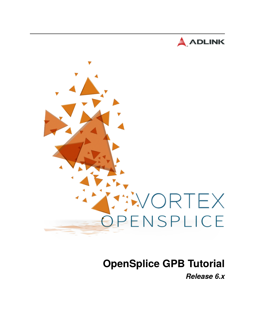



# **OpenSplice GPB Tutorial**

*Release 6.x*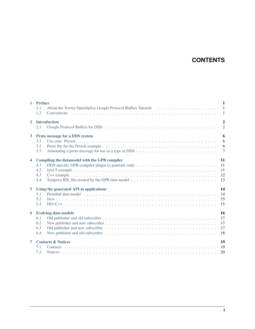# **CONTENTS**

| $\mathbf{1}$            | <b>Preface</b><br>1.1<br>1.2                                                                                                                                                      | $\mathbf{1}$<br>$\overline{1}$<br>$\mathbf{1}$ |  |  |  |  |
|-------------------------|-----------------------------------------------------------------------------------------------------------------------------------------------------------------------------------|------------------------------------------------|--|--|--|--|
| $\overline{2}$          | $\overline{2}$<br><b>Introduction</b><br>$\overline{2}$<br>2.1                                                                                                                    |                                                |  |  |  |  |
| 3                       | Proto message for a DDS system<br>3.1<br>3.2<br>3.3                                                                                                                               | 6<br>6<br>6<br>$\overline{7}$                  |  |  |  |  |
| $\overline{\mathbf{4}}$ | Compiling the datamodel with the GPB compiler<br>4.1<br>4.2<br>4.3<br>4.4                                                                                                         | 11<br>11<br>11<br>12<br>13                     |  |  |  |  |
| 5                       | Using the generated API in applications<br>5.1<br>5.2<br>5.3                                                                                                                      | 14<br>14<br>15<br>15                           |  |  |  |  |
| 6                       | <b>Evolving data models</b><br>6.1<br>6.2<br>6.3<br>New publisher and old subscriber $\dots \dots \dots \dots \dots \dots \dots \dots \dots \dots \dots \dots \dots \dots$<br>6.4 | 16<br>17<br>17<br>17<br>18                     |  |  |  |  |
| $\overline{7}$          | <b>Contacts &amp; Notices</b><br>7.1<br>7.2                                                                                                                                       | 19<br>19<br>20                                 |  |  |  |  |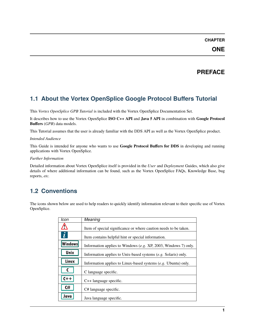## **ONE**

# **PREFACE**

# <span id="page-2-1"></span><span id="page-2-0"></span>**1.1 About the Vortex OpenSplice Google Protocol Buffers Tutorial**

This *Vortex OpenSplice GPB Tutorial* is included with the Vortex OpenSplice Documentation Set.

It describes how to use the Vortex OpenSplice **ISO C++ API** and **Java 5 API** in combination with **Google Protocol Buffers** (*GPB*) data models.

This Tutorial assumes that the user is already familiar with the DDS API as well as the Vortex OpenSplice product.

#### *Intended Audience*

This Guide is intended for anyone who wants to use **Google Protocol Buffers for DDS** in developing and running applications with Vortex OpenSplice.

#### *Further Information*

Detailed information about Vortex OpenSplice itself is provided in the *User* and *Deployment* Guides, which also give details of where additional information can be found, such as the Vortex OpenSplice FAQs, Knowledge Base, bug reports, *etc.*

# <span id="page-2-2"></span>**1.2 Conventions**

The icons shown below are used to help readers to quickly identify information relevant to their specific use of Vortex OpenSplice.

| Icon                | Meaning                                                           |
|---------------------|-------------------------------------------------------------------|
|                     | Item of special significance or where caution needs to be taken.  |
| $\boldsymbol{\Phi}$ | Item contains helpful hint or special information.                |
| <b>Windows</b>      | Information applies to Windows $(e.g. XP, 2003, Windows 7)$ only. |
| Unix                | Information applies to Unix-based systems (e.g. Solaris) only.    |
| Linux               | Information applies to Linux-based systems $(e.g.$ Ubuntu) only.  |
|                     | C language specific.                                              |
| $C++$               | $C++$ language specific.                                          |
| C#                  | C# language specific.                                             |
| Java                | Java language specific.                                           |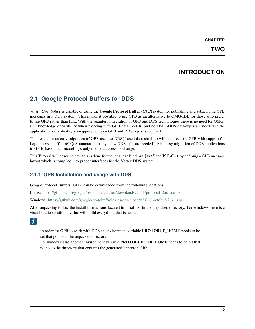# **INTRODUCTION**

# <span id="page-3-1"></span><span id="page-3-0"></span>**2.1 Google Protocol Buffers for DDS**

*Vortex OpenSplice* is capable of using the **Google Protocol Buffer** (*GPB*) system for publishing and subscribing GPB messages in a DDS system. This makes it possible to use GPB as an alternative to OMG-IDL for those who prefer to use GPB rather than IDL. With the seamless integration of GPB and DDS technologies there is no need for OMG-IDL knowledge or visibility when working with GPB data models, and no OMG-DDS data-types are needed in the application (no explicit type-mapping between GPB and DDS types is required).

This results in an easy migration of GPB users to DDS(-based data-sharing) with data-centric GPB with support for keys, filters and (future) QoS-annotations (ony a few DDS calls are needed). Also easy migration of DDS applications to GPB(-based data-modeling), only the field accessors change.

This Tutorial will describe how this is done for the language bindings **Java5** and **ISO-C++** by defining a GPB message layout which is compiled into proper interfaces for the Vortex DDS system.

### **2.1.1 GPB Installation and usage with DDS**

Google Protocol Buffers (GPB) can be downloaded from the following locations:

Linux: <https://github.com/google/protobuf/releases/download/v2.6.1/protobuf-2.6.1.tar.gz>

Windows: <https://github.com/google/protobuf/releases/download/v2.6.1/protobuf-2.6.1.zip>

After unpacking follow the install instructions located in install.txt in the unpacked directory. For windows there is a visual studio solution file that will build everything that is needed.

### $|\dot{\mathbf{t}}|$

In order for GPB to work with DDS an environment variable **PROTOBUF\_HOME** needs to be set that points to the unpacked directory.

For windows also another environment variable **PROTOBUF\_LIB\_HOME** needs to be set that points to the directory that contains the generated libprotobuf.lib.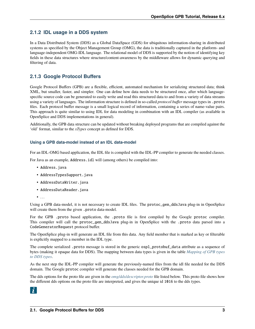### **2.1.2 IDL usage in a DDS system**

In a Data Distributed System (DDS) as a Global DataSpace (GDS) for ubiquitous information-sharing in distributed systems as specified by the Object Management Group (OMG), the data is traditionally captured in the platform- and language-independent OMG-IDL language. The relational model of DDS is supported by the notion of identifying key fields in these data structures where structure/content-awareness by the middleware allows for dynamic querying and filtering of data.

### **2.1.3 Google Protocol Buffers**

Google Protocol Buffers (GPB) are a flexible, efficient, automated mechanism for serializing structured data; think XML, but smaller, faster, and simpler. One can define how data needs to be structured once, after which languagespecific source code can be generated to easily write and read this structured data to and from a variety of data streams using a variety of languages. The information structure is defined in so-called *protocol buffer* message types in .proto files. Each protocol buffer message is a small logical record of information, containing a series of name-value pairs. This approach is quite similar to using IDL for data modeling in combination with an IDL compiler (as available in OpenSplice and DDS implementations in general).

Additionally, the GPB data structure can be updated without breaking deployed programs that are compiled against the 'old' format, similar to the *xTypes* concept as defined for DDS.

#### **Using a GPB data-model instead of an IDL data-model**

For an IDL-OMG based application, the IDL file is compiled with the IDL-PP compiler to generate the needed classes.

For Java as an example, Address.idl will (among others) be compiled into:

- Address.java
- AddressTypesSupport.java
- AddressDataWriter.java
- AddressDataReader.java

 $\bullet$  ...

Using a GPB data-model, it is not necessary to create IDL files. The protoc\_gen\_ddsJava plug-in in OpenSplice will create them from the given .proto data-model.

For the GPB .proto based application, the .proto file is first compiled by the Google protoc compiler. This compiler will call the protoc\_gen\_ddsJava plug-in in OpenSplice with the .proto data parsed into a CodeGeneratorRequest protocol buffer.

The OpenSplice plug-in will generate an IDL file from this data. Any field member that is marked as key or filterable is explicitly mapped to a member in the IDL type.

The complete serialized .proto message is stored in the generic ospl\_protobuf\_data attribute as a sequence of bytes (making it opaque data for DDS). The mapping between data types is given in the table *[Mapping of GPB types](#page-6-0) [to DDS types](#page-6-0)*.

As the next step the IDL-PP compiler will generate the previously-named files from the idl file needed for the DDS domain. The Google protoc compiler will generate the classes needed for the GPB domain.

The dds options for the proto file are given in the *[omg/dds/descriptor.proto](#page-5-0)* file listed below. This proto file shows how the different dds options on the proto file are interpreted, and gives the unique id 1016 to the dds types.

# $|\dot{\mathbf{L}}|$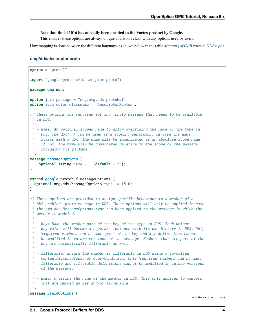#### **Note that the id 1016 has officially been granted to the Vortex product by Google.**

This ensures these options are always unique and won't clash with any options used by users.

How mapping is done between the different languages is shown below in the table *[Mapping of GPB types to DDS types](#page-6-0)*.

#### <span id="page-5-0"></span>**omg/dds/descriptor.proto**

```
syntax = "proto2";
import "google/protobuf/descriptor.proto";
package omg.dds;
option java_package = "org.omg.dds.protobuf";
option java_outer_classname = "DescriptorProtos";
\sqrt{*} These options are required for any .proto message that needs to be available
 * in DDS.
 *
 * - name: An optional scoped name to allow overriding the name of the type in
    DDS. The dot('.') can be used as a scoping separator. In case the name
    starts with a dot, the name will be interpreted as an absolute scope name.
    If not, the name will be considered relative to the scope of the message
    including its 'package'.
 */
message MessageOptions {
   optional string name = 1 [default = ""];
}
extend google.protobuf.MessageOptions {
  optional omg.dds.MessageOptions type = 1016;
}
/* These options are provided to assign specific behaviour to a member of a
 * DDS-enabled .proto message in DDS. These options will only be applied in case
 * the omg.dds.MessageOptions.type has been applied to the message in which the
 * member is modeled.
 *
 * - key: Make the member part of the key of the type in DDS. Each unique
    key-value will become a separate instance with its own history in DDS. Only
    * 'required' members can be made part of the key and key-definitions cannot
    be modified in future versions of the message. Members that are part of the
    key are automatically filterable as well.
 *
 * - filterable: Ensure the member is filterable in DDS using a so-called
     ContentFilteredTopic or QueryCondition. Only 'required' members can be made
    * filterable and filterable definitions cannot be modified in future versions
 * of the message.
 *
 * - name: Override the name of the member in DDS. This only applies to members
     that are marked as key and/or filterable.
 */
message FieldOptions {
```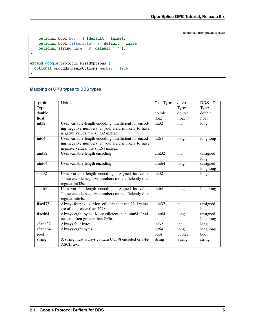```
optional bool key = 1 [default = false];
    optional bool filterable = 2 [default = false];
    optional string name = 3 [default = ""];
}
extend google.protobuf.FieldOptions {
  optional omg.dds.FieldOptions member = 1016;
}
```
#### <span id="page-6-0"></span>**Mapping of GPB types to DDS types**

| .proto               | <b>Notes</b>                                            | $C++Type$          | Java          | <b>DDS IDL</b> |
|----------------------|---------------------------------------------------------|--------------------|---------------|----------------|
| Type                 |                                                         |                    | <b>Type</b>   | <b>Type</b>    |
| double               |                                                         | double             | double        | double         |
| float                |                                                         | float              | float         | float          |
| int32                | Uses variable-length encoding. Inefficient for encod-   | int <sub>32</sub>  | int           | long           |
|                      | ing negative numbers; if your field is likely to have   |                    |               |                |
|                      | negative values, use sint32 instead                     |                    |               |                |
| int <sub>64</sub>    | Uses variable-length encoding. Inefficient for encod-   | int <sub>64</sub>  | long          | long long      |
|                      | ing negative numbers; if your field is likely to have   |                    |               |                |
|                      | negative values, use sint64 instead                     |                    |               |                |
| uint32               | Uses variable-length encoding                           | uint32             | int           | unsigned       |
|                      |                                                         |                    |               | long           |
| uint64               | Uses variable-length encoding                           | uint <sub>64</sub> | long          | unsigned       |
|                      |                                                         |                    |               | long long      |
| sint32               | Signed int value.<br>Uses variable-length encoding.     | int <sub>32</sub>  | int           | long           |
|                      | These encode negative numbers more efficiently than     |                    |               |                |
|                      | regular int32s.                                         |                    |               |                |
| sint64               | Uses variable-length encoding. Signed int value.        | int64              | long          | long long      |
|                      | These encode negative numbers more efficiently than     |                    |               |                |
|                      | regular int64s.                                         |                    |               |                |
| fixed32              | Always four bytes. More efficient than uint32 if values | $u$ int $32$       | int           | unsigned       |
|                      | are often greater than 2^28.                            |                    |               | long           |
| fixed64              | Always eight bytes. More efficient than uint64 if val-  | uint <sub>64</sub> | long          | unsigned       |
|                      | ues are often greater than 2^56.                        |                    |               | long long      |
| sfixed <sub>32</sub> | Always four bytes.                                      | int <sub>32</sub>  | int           | long           |
| sfixed64             | Always eight bytes.                                     | int <sub>64</sub>  | long          | long long      |
| bool                 |                                                         | bool               | boolean       | bool           |
| string               | A string must always contain UTF-8 encoded or 7-bit     | string             | <b>String</b> | string         |
|                      | <b>ASCII</b> text                                       |                    |               |                |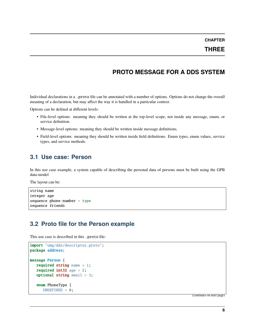### **THREE**

# **PROTO MESSAGE FOR A DDS SYSTEM**

<span id="page-7-0"></span>Individual declarations in a .proto file can be annotated with a number of options. Options do not change the overall meaning of a declaration, but may affect the way it is handled in a particular context.

Options can be defined at different levels:

- File-level options: meaning they should be written at the top-level scope, not inside any message, enum, or service definition.
- Message-level options: meaning they should be written inside message definitions.
- Field-level options: meaning they should be written inside field definitions. Enum types, enum values, service types, and service methods.

## <span id="page-7-1"></span>**3.1 Use case: Person**

In this use case example, a system capable of describing the personal data of persons must be built using the GPB data-model

The layout can be:

```
string name
integer age
sequence phone-number + type
sequence friends
```
### <span id="page-7-2"></span>**3.2 Proto file for the Person example**

This use case is described in this .proto file:

```
import "omg/dds/descriptor.proto";
package address;
message Person {
   required string name = 1;
   required int32 age = 2;
   optional string email = 3;
   enum PhoneType {
      UNDEFINED = 0;
```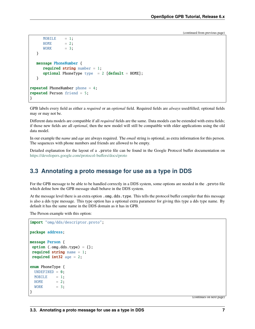```
MOBILE = 1;HOME = 2;WORK = 3;}
  message PhoneNumber {
     required string number = 1;
     optional PhoneType type = 2 [default = HOME];
  }
repeated PhoneNumber phone = 4;
repeated Person friend = 5;
}
```
GPB labels every field as either a *required* or an *optional* field. Required fields are *always* used/filled; optional fields may or may not be.

Different data models are compatible if all *required* fields are the same. Data models can be extended with extra fields; if those new fields are all *optional*, then the new model will still be compatible with older applications using the old data model.

In our example the *name* and *age* are always required. The *email* string is optional, as extra information for this person. The sequences with phone numbers and friends are allowed to be empty.

Detailed explanation for the layout of a .proto file can be found in the Google Protocol buffer documentation on <https://developers.google.com/protocol-buffers/docs/proto>

## <span id="page-8-0"></span>**3.3 Annotating a proto message for use as a type in DDS**

For the GPB message to be able to be handled correctly in a DDS system, some options are needed in the .proto file which define how the GPB message shall behave in the DDS system.

At the message level there is an extra option . omg.dds.type. This tells the protocol buffer compiler that this message is also a dds type message. This type option has a optional extra parameter for giving this type a dds type name. By default it has the same name in the DDS domain as it has in GPB.

The Person example with this option:

```
import "omg/dds/descriptor.proto";
package address;
message Person {
option (.omg.dds.type) = \{\};
required string name = 1;
required int32 age = 2;
enum PhoneType {
 UNDEFINED = 0;
 MOBILE = 1;HOME = 2:
 WORK = 3;}
```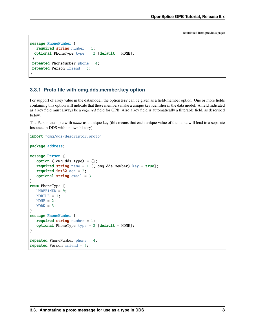```
message PhoneNumber {
  required string number = 1;
 optional PhoneType type = 2 [default = HOME];
}
repeated PhoneNumber phone = 4;
repeated Person friend = 5;
}
```
#### **3.3.1 Proto file with omg.dds.member.key option**

For support of a key value in the datamodel, the option key can be given as a field-member option. One or more fields containing this option will indicate that these members make a unique key identifier in the data model. A field indicated as a key field must always be a *required* field for GPB. Also a key field is automatically a filterable field, as described below.

The Person example with *name* as a unique key (this means that each unique value of the name will lead to a separate instance in DDS with its own history):

```
import "omg/dds/descriptor.proto";
package address;
message Person {
   option (.omg.dds.type) = \{\};
   required string name = 1 [(.omg.dds.member).key = true];
   required int32 age = 2;
   optional string email = 3;
}
enum PhoneType {
  UNDEFINED = 0;
   MOBILE = 1;HOME = 2;WORK = 3;}
message PhoneNumber {
   required string number = 1;
   optional PhoneType type = 2 [default = HOME];
}
repeated PhoneNumber phone = 4;
repeated Person friend = 5;
```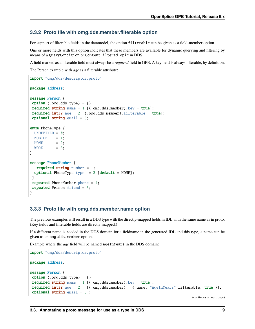#### **3.3.2 Proto file with omg.dds.member.filterable option**

For support of filterable fields in the datamodel, the option filterable can be given as a field-member option.

One or more fields with this option indicates that these members are available for dynamic querying and filtering by means of a QueryCondition or ContentFilteredTopic in DDS.

A field marked as a filterable field must always be a *required* field in GPB. A key field is always filterable, by definition.

The Person example with *age* as a filterable attribute:

```
import "omg/dds/descriptor.proto";
package address;
message Person {
option (.omg.dds.type) = {};
required string name = 1 [(.omg.dds.member).key = true];
required int32 age = 2 [(.omg.dds.member).filterable = true];
optional string email = 3;
enum PhoneType {
 UNDEFINED = 0;
 MOBILE = 1:
 HOME = 2;
 WORK = 3;}
message PhoneNumber {
  required string number = 1;
 optional PhoneType type = 2 [default = HOME];
}
repeated PhoneNumber phone = 4;
repeated Person friend = 5;
}
```
#### **3.3.3 Proto file with omg.dds.member.name option**

The previous examples will result in a DDS type with the directly-mapped fields in IDL with the same name as in proto. (Key fields and filterable fields are directly mapped.)

If a different name is needed in the DDS domain for a fieldname in the generated IDL and dds type, a name can be given as an omg.dds.member option.

Example where the *age* field will be named AgeInYears in the DDS domain:

```
import "omg/dds/descriptor.proto";
package address;
message Person {
option (.omg.dds.type) = \{\};
required string name = 1 [(.omg.dds.member).key = true];
required int32 age = 2 [(.omg.dds.member) = { name: "AgeInYears" filterable: true }];
optional string email = 3 ;
```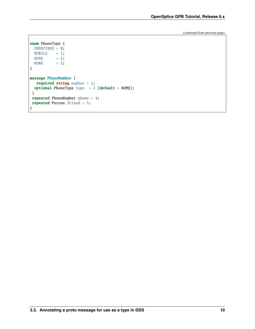```
enum PhoneType {
 UNDEFINED = 0;MOBILE = 1;HOME = 2;WORK = 3;}
message PhoneNumber {
  required string number = 1;
 optional PhoneType type = 2 [default = HOME];
}
repeated PhoneNumber phone = 4;
repeated Person friend = 5;
}
```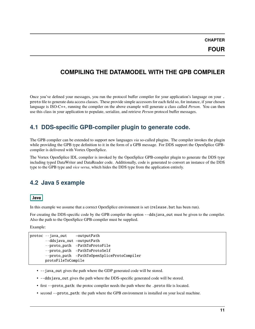**FOUR**

# <span id="page-12-0"></span>**COMPILING THE DATAMODEL WITH THE GPB COMPILER**

Once you've defined your messages, you run the protocol buffer compiler for your application's language on your . proto file to generate data access classes. These provide simple accessors for each field so, for instance, if your chosen language is ISO-C++, running the compiler on the above example will generate a class called *Person*. You can then use this class in your application to populate, serialize, and retrieve *Person* protocol buffer messages.

# <span id="page-12-1"></span>**4.1 DDS-specific GPB-compiler plugin to generate code.**

The GPB compiler can be extended to support new languages *via* so-called plugins. The compiler invokes the plugin while providing the GPB type definition to it in the form of a GPB message. For DDS support the OpenSplice GPBcompiler is delivered with Vortex OpenSplice.

The Vortex OpenSplice IDL compiler is invoked by the OpenSplice GPB-compiler plugin to generate the DDS type including typed DataWriter and DataReader code. Additionally, code is generated to convert an instance of the DDS type to the GPB type and *vice versa*, which hides the DDS type from the application entirely.

# <span id="page-12-2"></span>**4.2 Java 5 example**

#### Java

In this example we assume that a correct OpenSplice environment is set (release.bat has been run).

For creating the DDS-specific code by the GPB compiler the option --ddsjava\_out must be given to the compiler. Also the path to the OpenSplice GPB-compiler must be supplied.

Example:

```
protoc --java_out =outputPath
       --ddsjava_out =outputPath
      --proto_path =PathToProtoFile
      --proto_path =PathToProtoSelf
       --proto_path =PathToOpenSpliceProtoCompiler
      protoFileToCompile
```
- --java\_out gives the path where the GDP generated code will be stored.
- --ddsjava\_out gives the path where the DDS-specific generated code will be stored.
- first --proto\_path: the protoc compiler needs the path where the .proto file is located.
- second  $-\text{proto}\_\text{path}$ : the path where the GPB environment is installed on your local machine.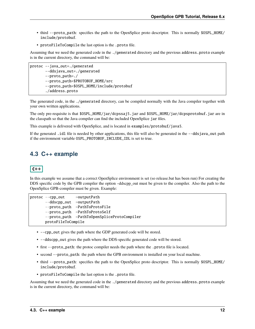- third --proto\_path: specifies the path to the OpenSplice proto descriptor. This is normally \$OSPL\_HOME/ include/protobuf.
- protoFileToCompile the last option is the .proto file.

Assuming that we need the generated code in the ./generated directory and the previous address.proto example is in the current directory, the command will be:

```
protoc --java_out=./generated
       --ddsjava_out=./generated
       --proto_path=./
       --proto_path=$PROTOBUF_HOME/src
       --proto_path=$OSPL_HOME/include/protobuf
       ./address.proto
```
The generated code, in the ./generated directory, can be compiled normally with the Java compiler together with your own written applications.

The only pre-requisite is that \$OSPL\_HOME/jar/dcpssaj5.jar and \$OSPL\_HOME/jar/dcpsprotobuf.jar are in the classpath so that the Java compiler can find the included OpenSplice jar files.

This example is delivered with OpenSplice, and is located in examples/protobuf/java5.

If the generated .idl file is needed by other applications, this file will also be generated in the --ddsjava\_out path if the environment variable OSPL\_PROTOBUF\_INCLUDE\_IDL is set to true.

# <span id="page-13-0"></span>**4.3 C++ example**

### $C++$

In this example we assume that a correct OpenSplice environment is set (so release.bat has been run) For creating the DDS specific code by the GPB compiler the option –ddscpp\_out must be given to the compiler. Also the path to the OpenSplice GPB-compiler must be given. Example:

```
protoc --cpp_out =outputPath
      --ddscpp_out =outputPath
      --proto_path =PathToProtoFile
      --proto_path =PathToProtoSelf
      --proto_path =PathToOpenSpliceProtoCompiler
      protoFileToCompile
```
- --cpp\_out gives the path where the GDP generated code will be stored.
- --ddscpp\_out gives the path where the DDS-specific generated code will be stored.
- first --proto\_path: the protoc compiler needs the path where the .proto file is located.
- second  $-\text{proto}\_\text{path}$ : the path where the GPB environment is installed on your local machine.
- third --proto\_path: specifies the path to the OpenSplice proto descriptor. This is normally \$OSPL\_HOME/ include/protobuf.
- protoFileToCompile the last option is the .proto file.

Assuming that we need the generated code in the ./generated directory and the previous address.proto example is in the current directory, the command will be: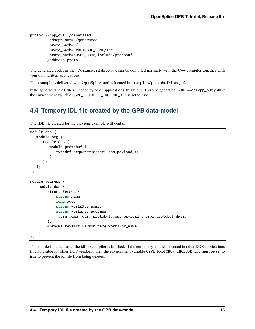protoc --cpp\_out=./generated --ddscpp\_out=./generated --proto\_path=./ --proto\_path=\$PROTOBUF\_HOME/src --proto\_path=\$OSPL\_HOME/include/protobuf ./address.proto

The generated code, in the ./generated directory, can be compiled normally with the C++ compiler together with your own written applications.

This example is delivered with OpenSplice, and is located in examples/protobuf/isocpp2.

If the generated .idl file is needed by other applications, this file will also be generated in the --ddscpp\_out path if the environment variable OSPL\_PROTOBUF\_INCLUDE\_IDL is set to true.

# <span id="page-14-0"></span>**4.4 Tempory IDL file created by the GPB data-model**

The IDL file created for the previous example will contain:

```
module org {
  module omg {
      module dds {
         module protobuf {
            typedef sequence<octet> gpb_payload_t;
         };
      };
  };
};
module address {
    module dds {
        struct Person {
            string name;
            long age;
            string worksFor_name;
            string worksFor_address;
            ::org::omg::dds::protobuf::gpb_payload_t ospl_protobuf_data;
        };
        #pragma keylist Person name worksFor_name
    };
};
```
This idl file is deleted after the idl-pp compiler is finished. If the temporary idl file is needed in other DDS applications (it also usable for other DDS vendors), then the environment variable OSPL\_PROTOBUF\_INCLUDE\_IDL must be set to true to prevent the idl file from being deleted.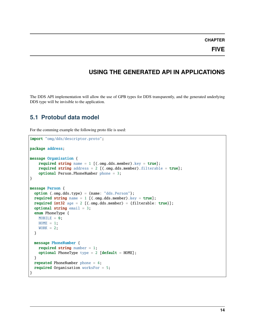**FIVE**

# **USING THE GENERATED API IN APPLICATIONS**

<span id="page-15-0"></span>The DDS API implementation will allow the use of GPB types for DDS transparently, and the generated underlying DDS type will be invisible to the application.

## <span id="page-15-1"></span>**5.1 Protobuf data model**

For the comming example the following proto file is used:

```
import "omg/dds/descriptor.proto";
package address;
message Organisation {
    required string name = 1 [(.omg.dds.member).key = true];
    required string address = 2 [(.omg.dds.member).filterable = true];
    optional Person.PhoneNumber phone = 3;
}
message Person {
  option (.omg.dds.type) = {name: "dds.Person"};
  required string name = 1 [(.omg.dds.member).key = true];
  required int32 age = 2 [(.omg.dds.member) = {filterable: true}];
  optional string email = 3;
  enum PhoneType {
   MOBILE = 0:
   HOME = 1;WORK = 2;
  }
  message PhoneNumber {
    required string number = 1;
    optional PhoneType type = 2 [default = HOME];
  }
  repeated PhoneNumber phone = 4;
  required Organisation worksFor = 5;
}
```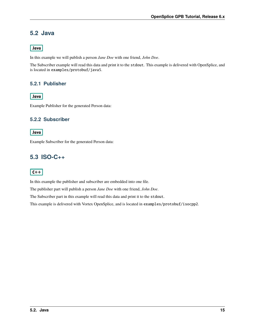# <span id="page-16-0"></span>**5.2 Java**

### Java

In this example we will publish a person *Jane Doe* with one friend, *John Doe*.

The Subscriber example will read this data and print it to the stdout. This example is delivered with OpenSplice, and is located in examples/protobuf/java5.

### **5.2.1 Publisher**

### **Java**

Example Publisher for the generated Person data:

### **5.2.2 Subscriber**

#### Java

Example Subscriber for the generated Person data:

# <span id="page-16-1"></span>**5.3 ISO-C++**

### $\overline{C++}$

In this example the publisher and subscriber are embedded into one file.

The publisher part will publish a person *Jane Doe* with one friend, *John Doe*.

The Subscriber part in this example will read this data and print it to the stdout.

This example is delivered with Vortex OpenSplice, and is located in examples/protobuf/isocpp2.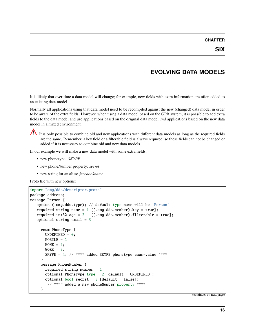# **EVOLVING DATA MODELS**

<span id="page-17-0"></span>It is likely that over time a data model will change; for example, new fields with extra information are often added to an existing data model.

Normally all applications using that data model need to be recompiled against the new (changed) data model in order to be aware of the extra fields. However, when using a data model based on the GPB system, it is possible to add extra fields to the data model and use applications based on the original data model *and* applications based on the new data model in a mixed environment.

It is only possible to combine old and new applications with different data models as long as the required fields are the same. Remember, a key field or a filterable field is always required, so these fields can not be changed or added if it is necessary to combine old and new data models.

In our example we will make a new data model with some extra fields:

- new phonetype: *SKYPE*
- new phoneNumber property: *secret*
- new string for an alias: *facebookname*

Proto file with new options:

```
import "omg/dds/descriptor.proto";
package address;
message Person {
   option (.omg.dds.type); // default type-name will be 'Person'
   required string name = 1 [(.omg.dds.member).key = true];
   required int32 age = 2 [(.omg.dds.member).filterable = true];
   optional string email = 3;
     enum PhoneType {
      UNDEFINED = 0;
      MOBILE = 1;HOME = 2;WORK = 3;
       SKYPE = 4; // **** added SKYPE phonetype enum-value ****
     }
     message PhoneNumber {
       required string number = 1;
       optional PhoneType type = 2 [default = UNDEFINED];
       optional bool secret = 3 [default = false];
        // **** added a new phoneNumber property ****
     }
```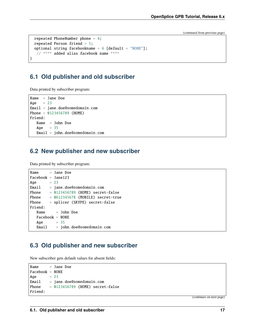```
repeated PhoneNumber phone = 4;
repeated Person friend = 5;
optional string facebookname = 6 [default = "NONE"];
 // **** added alias facebook name ****
```
# <span id="page-18-0"></span>**6.1 Old publisher and old subscriber**

Data printed by subscriber program:

}

Name  $=$  Jane Doe Age  $= 23$ Email = jane.doe@somedomain.com Phone = 0123456789 (HOME) Friend: Name = John Doe Age  $= 35$ Email = john.doe@somedomain.com

### <span id="page-18-1"></span>**6.2 New publisher and new subscriber**

Data printed by subscriber program:

```
Name = Jane Doe
Facebook = Jane123Age = 23Email = jane.doe@somedomain.com
Phone = 0123456789 (HOME) secret=false
Phone = 0612345678 (MOBILE) secret=true
Phone = splicer (SKYPE) secret=false
Friend:
  Name = John Doe
  Facebook = NONE
  Age = 35Email = john.doe@somedomain.com
```
### <span id="page-18-2"></span>**6.3 Old publisher and new subscriber**

New subscriber gets default values for absent fields:

```
Name = Jane Doe
Facebook = NONE
Age = 23Email = jane.doe@somedomain.com
Phone = 0123456789 (HOME) secret=false
Friend:
```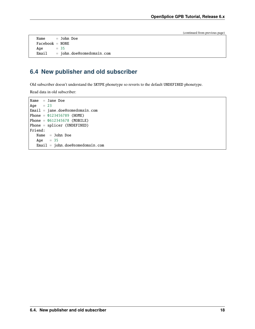```
Name = John Doe
Facebook = NONE
Age = 35Email = john.doe@somedomain.com
```
# <span id="page-19-0"></span>**6.4 New publisher and old subscriber**

Old subscriber doesn't understand the SKYPE phonetype so reverts to the default UNDEFINED phonetype.

Read data in old subscriber:

```
Name = Jane Doe
Age = 23Email = jane.doe@somedomain.com
Phone = 0123456789 (HOME)
Phone = 0612345678 (MOBILE)
Phone = splicer (UNDEFINED)
Friend:
  Name = John Doe
  Age = 35Email = john.doe@somedomain.com
```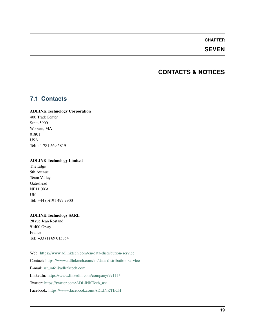### **SEVEN**

# **CONTACTS & NOTICES**

# <span id="page-20-1"></span><span id="page-20-0"></span>**7.1 Contacts**

#### **ADLINK Technology Corporation**

400 TradeCenter Suite 5900 Woburn, MA 01801 USA Tel: +1 781 569 5819

#### **ADLINK Technology Limited**

The Edge 5th Avenue Team Valley Gateshead NE11 0XA UK Tel: +44 (0)191 497 9900

#### **ADLINK Technology SARL**

28 rue Jean Rostand 91400 Orsay France Tel: +33 (1) 69 015354

Web: <https://www.adlinktech.com/en/data-distribution-service> Contact: <https://www.adlinktech.com/en/data-distribution-service> E-mail: [ist\\_info@adlinktech.com](mailto:ist_info@adlinktech.com) LinkedIn: <https://www.linkedin.com/company/79111/> Twitter: [https://twitter.com/ADLINKTech\\_usa](https://twitter.com/ADLINKTech_usa) Facebook: <https://www.facebook.com/ADLINKTECH>